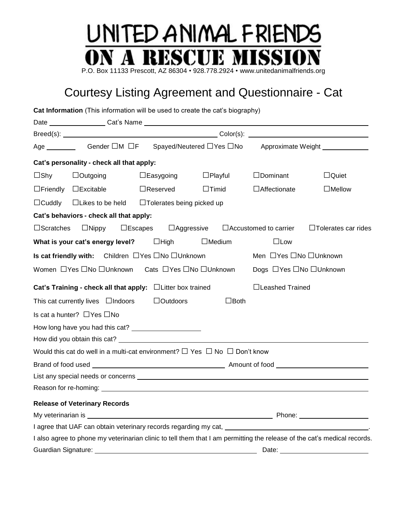## UNITED ANIMAL FRIENDS SCHE MIS! - RE P.O. Box 11133 Prescott, AZ 86304 • 928.778.2924 • www.unitedanimalfriends.org

## Courtesy Listing Agreement and Questionnaire - Cat

|                     | Cat Information (This information will be used to create the cat's biography)                      |                     |                   |                |                              |                                                                                                                          |
|---------------------|----------------------------------------------------------------------------------------------------|---------------------|-------------------|----------------|------------------------------|--------------------------------------------------------------------------------------------------------------------------|
|                     |                                                                                                    |                     |                   |                |                              |                                                                                                                          |
|                     |                                                                                                    |                     |                   |                |                              |                                                                                                                          |
|                     | Age __________ Gender □M □F Spayed/Neutered □Yes □No Approximate Weight ____________               |                     |                   |                |                              |                                                                                                                          |
|                     | Cat's personality - check all that apply:                                                          |                     |                   |                |                              |                                                                                                                          |
| $\Box$ Shy          | $\Box$ Outgoing                                                                                    | $\square$ Easygoing |                   | $\Box$ Playful | $\Box$ Dominant              | $\Box$ Quiet                                                                                                             |
|                     | $\Box$ Friendly $\Box$ Excitable                                                                   | $\Box$ Reserved     |                   | $\Box$ Timid   | $\Box$ Affectionate          | $\Box$ Mellow                                                                                                            |
|                     | □Cuddly □Likes to be held □Tolerates being picked up                                               |                     |                   |                |                              |                                                                                                                          |
|                     | Cat's behaviors - check all that apply:                                                            |                     |                   |                |                              |                                                                                                                          |
| $\square$ Scratches | $\Box$ Nippy                                                                                       | $\square$ Escapes   | $\Box$ Aggressive |                | $\Box$ Accustomed to carrier | $\Box$ Tolerates car rides                                                                                               |
|                     | What is your cat's energy level? $\Box$ High                                                       |                     |                   | $\Box$ Medium  | $\Box$ Low                   |                                                                                                                          |
|                     | Is cat friendly with: Children $\Box$ Yes $\Box$ No $\Box$ Unknown                                 |                     |                   |                | Men □ Yes □ No □ Unknown     |                                                                                                                          |
|                     | Women □ Yes □ No □ Unknown  Cats □ Yes □ No □ Unknown                                              |                     |                   |                | Dogs □ Yes □ No □ Unknown    |                                                                                                                          |
|                     | Cat's Training - check all that apply: $\Box$ Litter box trained                                   |                     |                   |                | □Leashed Trained             |                                                                                                                          |
|                     | This cat currently lives $\Box$ Indoors                                                            |                     | $\Box$ Outdoors   | $\Box$ Both    |                              |                                                                                                                          |
|                     | Is cat a hunter? □ Yes □ No                                                                        |                     |                   |                |                              |                                                                                                                          |
|                     | How long have you had this cat? _______________________                                            |                     |                   |                |                              |                                                                                                                          |
|                     |                                                                                                    |                     |                   |                |                              |                                                                                                                          |
|                     | Would this cat do well in a multi-cat environment? $\square$ Yes $\square$ No $\square$ Don't know |                     |                   |                |                              |                                                                                                                          |
|                     |                                                                                                    |                     |                   |                |                              |                                                                                                                          |
|                     |                                                                                                    |                     |                   |                |                              |                                                                                                                          |
|                     |                                                                                                    |                     |                   |                |                              |                                                                                                                          |
|                     | <b>Release of Veterinary Records</b>                                                               |                     |                   |                |                              |                                                                                                                          |
|                     |                                                                                                    |                     |                   |                |                              |                                                                                                                          |
|                     |                                                                                                    |                     |                   |                |                              |                                                                                                                          |
|                     |                                                                                                    |                     |                   |                |                              | I also agree to phone my veterinarian clinic to tell them that I am permitting the release of the cat's medical records. |
|                     | Guardian Signature: Value of the Contract of Suardian Signature:                                   |                     |                   |                | Date:                        |                                                                                                                          |